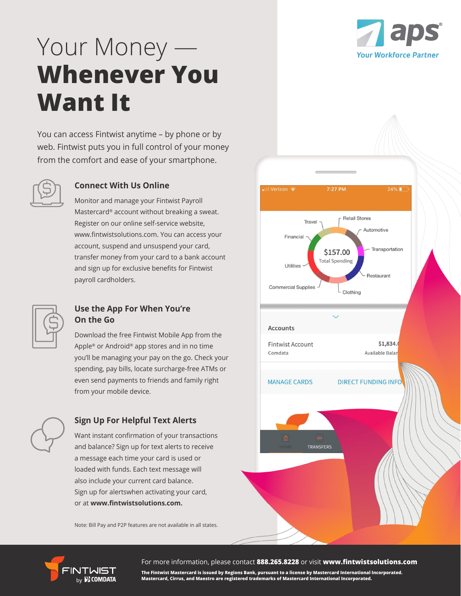

## Your Money — **Whenever You Want It**

You can access Fintwist anytime – by phone or by web. Fintwist puts you in full control of your money from the comfort and ease of your smartphone.



### **Connect With Us Online**

Monitor and manage your Fintwist Payroll Mastercard® account without breaking a sweat. Register on our online self-service website, www.fintwistsolutions.com. You can access your account, suspend and unsuspend your card, transfer money from your card to a bank account and sign up for exclusive benefits for Fintwist payroll cardholders.



### **Use the App For When You're On the Go**

Download the free Fintwist Mobile App from the Apple® or Android® app stores and in no time you'll be managing your pay on the go. Check your spending, pay bills, locate surcharge-free ATMs or even send payments to friends and family right from your mobile device.



### **Sign Up For Helpful Text Alerts**

Want instant confirmation of your transactions and balance? Sign up for text alerts to receive a message each time your card is used or loaded with funds. Each text message will also include your current card balance. Sign up for alertswhen activating your card, or at **www.fintwistsolutions.com.**

Note: Bill Pay and P2P features are not available in all states.





For more information, please contact **888.265.8228** or visit **www.fintwistsolutions.com**

**The Fintwist Mastercard is issued by Regions Bank, pursuant to a license by Mastercard International Incorporated. Mastercard, Cirrus, and Maestro are registered trademarks of Mastercard International Incorporated.**